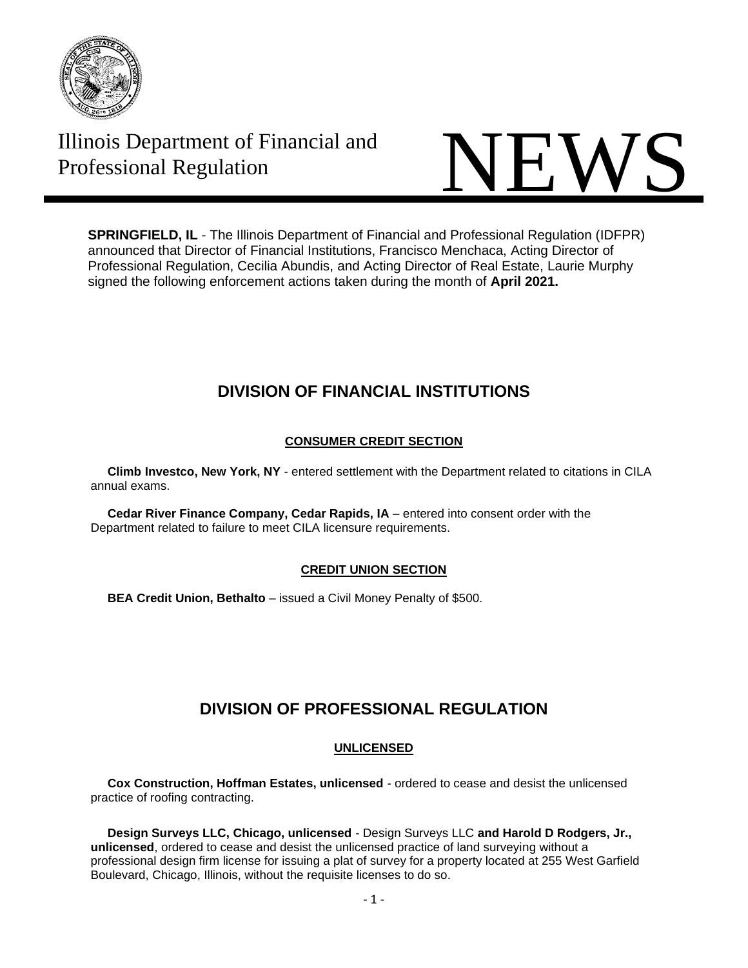

Illinois Department of Financial and



**SPRINGFIELD, IL** - The Illinois Department of Financial and Professional Regulation (IDFPR) announced that Director of Financial Institutions, Francisco Menchaca, Acting Director of Professional Regulation, Cecilia Abundis, and Acting Director of Real Estate, Laurie Murphy signed the following enforcement actions taken during the month of **April 2021.**

# **DIVISION OF FINANCIAL INSTITUTIONS**

## **CONSUMER CREDIT SECTION**

 **Climb Investco, New York, NY** - entered settlement with the Department related to citations in CILA annual exams.

 **Cedar River Finance Company, Cedar Rapids, IA** – entered into consent order with the Department related to failure to meet CILA licensure requirements.

## **CREDIT UNION SECTION**

 **BEA Credit Union, Bethalto** – issued a Civil Money Penalty of \$500.

# **DIVISION OF PROFESSIONAL REGULATION**

## **UNLICENSED**

 **Cox Construction, Hoffman Estates, unlicensed** - ordered to cease and desist the unlicensed practice of roofing contracting.

 **Design Surveys LLC, Chicago, unlicensed** - Design Surveys LLC **and Harold D Rodgers, Jr., unlicensed**, ordered to cease and desist the unlicensed practice of land surveying without a professional design firm license for issuing a plat of survey for a property located at 255 West Garfield Boulevard, Chicago, Illinois, without the requisite licenses to do so.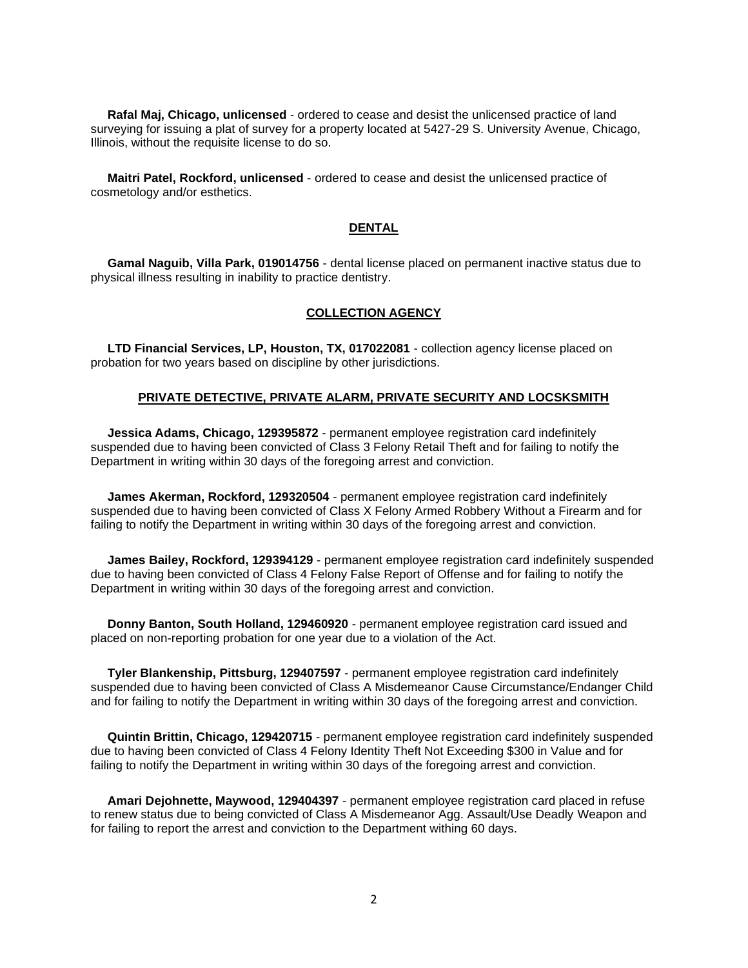**Rafal Maj, Chicago, unlicensed** - ordered to cease and desist the unlicensed practice of land surveying for issuing a plat of survey for a property located at 5427-29 S. University Avenue, Chicago, Illinois, without the requisite license to do so.

 **Maitri Patel, Rockford, unlicensed** - ordered to cease and desist the unlicensed practice of cosmetology and/or esthetics.

## **DENTAL**

 **Gamal Naguib, Villa Park, 019014756** - dental license placed on permanent inactive status due to physical illness resulting in inability to practice dentistry.

#### **COLLECTION AGENCY**

 **LTD Financial Services, LP, Houston, TX, 017022081** - collection agency license placed on probation for two years based on discipline by other jurisdictions.

#### **PRIVATE DETECTIVE, PRIVATE ALARM, PRIVATE SECURITY AND LOCSKSMITH**

 **Jessica Adams, Chicago, 129395872** - permanent employee registration card indefinitely suspended due to having been convicted of Class 3 Felony Retail Theft and for failing to notify the Department in writing within 30 days of the foregoing arrest and conviction.

 **James Akerman, Rockford, 129320504** - permanent employee registration card indefinitely suspended due to having been convicted of Class X Felony Armed Robbery Without a Firearm and for failing to notify the Department in writing within 30 days of the foregoing arrest and conviction.

 **James Bailey, Rockford, 129394129** - permanent employee registration card indefinitely suspended due to having been convicted of Class 4 Felony False Report of Offense and for failing to notify the Department in writing within 30 days of the foregoing arrest and conviction.

 **Donny Banton, South Holland, 129460920** - permanent employee registration card issued and placed on non-reporting probation for one year due to a violation of the Act.

 **Tyler Blankenship, Pittsburg, 129407597** - permanent employee registration card indefinitely suspended due to having been convicted of Class A Misdemeanor Cause Circumstance/Endanger Child and for failing to notify the Department in writing within 30 days of the foregoing arrest and conviction.

 **Quintin Brittin, Chicago, 129420715** - permanent employee registration card indefinitely suspended due to having been convicted of Class 4 Felony Identity Theft Not Exceeding \$300 in Value and for failing to notify the Department in writing within 30 days of the foregoing arrest and conviction.

 **Amari Dejohnette, Maywood, 129404397** - permanent employee registration card placed in refuse to renew status due to being convicted of Class A Misdemeanor Agg. Assault/Use Deadly Weapon and for failing to report the arrest and conviction to the Department withing 60 days.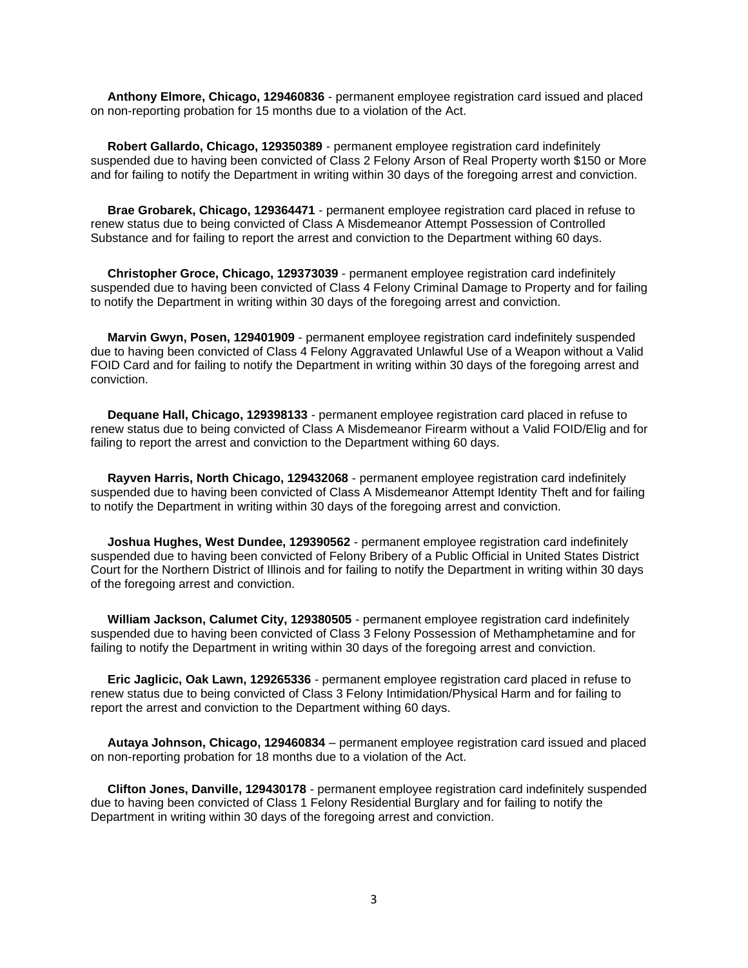**Anthony Elmore, Chicago, 129460836** - permanent employee registration card issued and placed on non-reporting probation for 15 months due to a violation of the Act.

 **Robert Gallardo, Chicago, 129350389** - permanent employee registration card indefinitely suspended due to having been convicted of Class 2 Felony Arson of Real Property worth \$150 or More and for failing to notify the Department in writing within 30 days of the foregoing arrest and conviction.

 **Brae Grobarek, Chicago, 129364471** - permanent employee registration card placed in refuse to renew status due to being convicted of Class A Misdemeanor Attempt Possession of Controlled Substance and for failing to report the arrest and conviction to the Department withing 60 days.

 **Christopher Groce, Chicago, 129373039** - permanent employee registration card indefinitely suspended due to having been convicted of Class 4 Felony Criminal Damage to Property and for failing to notify the Department in writing within 30 days of the foregoing arrest and conviction.

 **Marvin Gwyn, Posen, 129401909** - permanent employee registration card indefinitely suspended due to having been convicted of Class 4 Felony Aggravated Unlawful Use of a Weapon without a Valid FOID Card and for failing to notify the Department in writing within 30 days of the foregoing arrest and conviction.

 **Dequane Hall, Chicago, 129398133** - permanent employee registration card placed in refuse to renew status due to being convicted of Class A Misdemeanor Firearm without a Valid FOID/Elig and for failing to report the arrest and conviction to the Department withing 60 days.

 **Rayven Harris, North Chicago, 129432068** - permanent employee registration card indefinitely suspended due to having been convicted of Class A Misdemeanor Attempt Identity Theft and for failing to notify the Department in writing within 30 days of the foregoing arrest and conviction.

 **Joshua Hughes, West Dundee, 129390562** - permanent employee registration card indefinitely suspended due to having been convicted of Felony Bribery of a Public Official in United States District Court for the Northern District of Illinois and for failing to notify the Department in writing within 30 days of the foregoing arrest and conviction.

 **William Jackson, Calumet City, 129380505** - permanent employee registration card indefinitely suspended due to having been convicted of Class 3 Felony Possession of Methamphetamine and for failing to notify the Department in writing within 30 days of the foregoing arrest and conviction.

 **Eric Jaglicic, Oak Lawn, 129265336** - permanent employee registration card placed in refuse to renew status due to being convicted of Class 3 Felony Intimidation/Physical Harm and for failing to report the arrest and conviction to the Department withing 60 days.

 **Autaya Johnson, Chicago, 129460834** – permanent employee registration card issued and placed on non-reporting probation for 18 months due to a violation of the Act.

 **Clifton Jones, Danville, 129430178** - permanent employee registration card indefinitely suspended due to having been convicted of Class 1 Felony Residential Burglary and for failing to notify the Department in writing within 30 days of the foregoing arrest and conviction.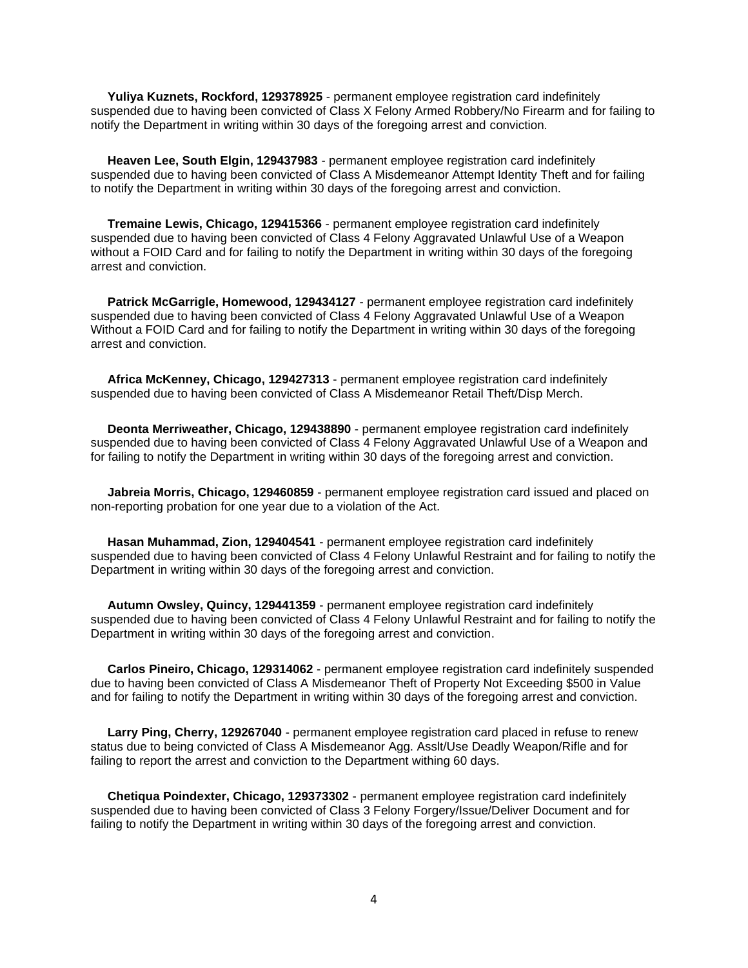**Yuliya Kuznets, Rockford, 129378925** - permanent employee registration card indefinitely suspended due to having been convicted of Class X Felony Armed Robbery/No Firearm and for failing to notify the Department in writing within 30 days of the foregoing arrest and conviction.

 **Heaven Lee, South Elgin, 129437983** - permanent employee registration card indefinitely suspended due to having been convicted of Class A Misdemeanor Attempt Identity Theft and for failing to notify the Department in writing within 30 days of the foregoing arrest and conviction.

 **Tremaine Lewis, Chicago, 129415366** - permanent employee registration card indefinitely suspended due to having been convicted of Class 4 Felony Aggravated Unlawful Use of a Weapon without a FOID Card and for failing to notify the Department in writing within 30 days of the foregoing arrest and conviction.

 **Patrick McGarrigle, Homewood, 129434127** - permanent employee registration card indefinitely suspended due to having been convicted of Class 4 Felony Aggravated Unlawful Use of a Weapon Without a FOID Card and for failing to notify the Department in writing within 30 days of the foregoing arrest and conviction.

 **Africa McKenney, Chicago, 129427313** - permanent employee registration card indefinitely suspended due to having been convicted of Class A Misdemeanor Retail Theft/Disp Merch.

 **Deonta Merriweather, Chicago, 129438890** - permanent employee registration card indefinitely suspended due to having been convicted of Class 4 Felony Aggravated Unlawful Use of a Weapon and for failing to notify the Department in writing within 30 days of the foregoing arrest and conviction.

 **Jabreia Morris, Chicago, 129460859** - permanent employee registration card issued and placed on non-reporting probation for one year due to a violation of the Act.

 **Hasan Muhammad, Zion, 129404541** - permanent employee registration card indefinitely suspended due to having been convicted of Class 4 Felony Unlawful Restraint and for failing to notify the Department in writing within 30 days of the foregoing arrest and conviction.

 **Autumn Owsley, Quincy, 129441359** - permanent employee registration card indefinitely suspended due to having been convicted of Class 4 Felony Unlawful Restraint and for failing to notify the Department in writing within 30 days of the foregoing arrest and conviction.

 **Carlos Pineiro, Chicago, 129314062** - permanent employee registration card indefinitely suspended due to having been convicted of Class A Misdemeanor Theft of Property Not Exceeding \$500 in Value and for failing to notify the Department in writing within 30 days of the foregoing arrest and conviction.

Larry Ping, Cherry, 129267040 - permanent employee registration card placed in refuse to renew status due to being convicted of Class A Misdemeanor Agg. Asslt/Use Deadly Weapon/Rifle and for failing to report the arrest and conviction to the Department withing 60 days.

 **Chetiqua Poindexter, Chicago, 129373302** - permanent employee registration card indefinitely suspended due to having been convicted of Class 3 Felony Forgery/Issue/Deliver Document and for failing to notify the Department in writing within 30 days of the foregoing arrest and conviction.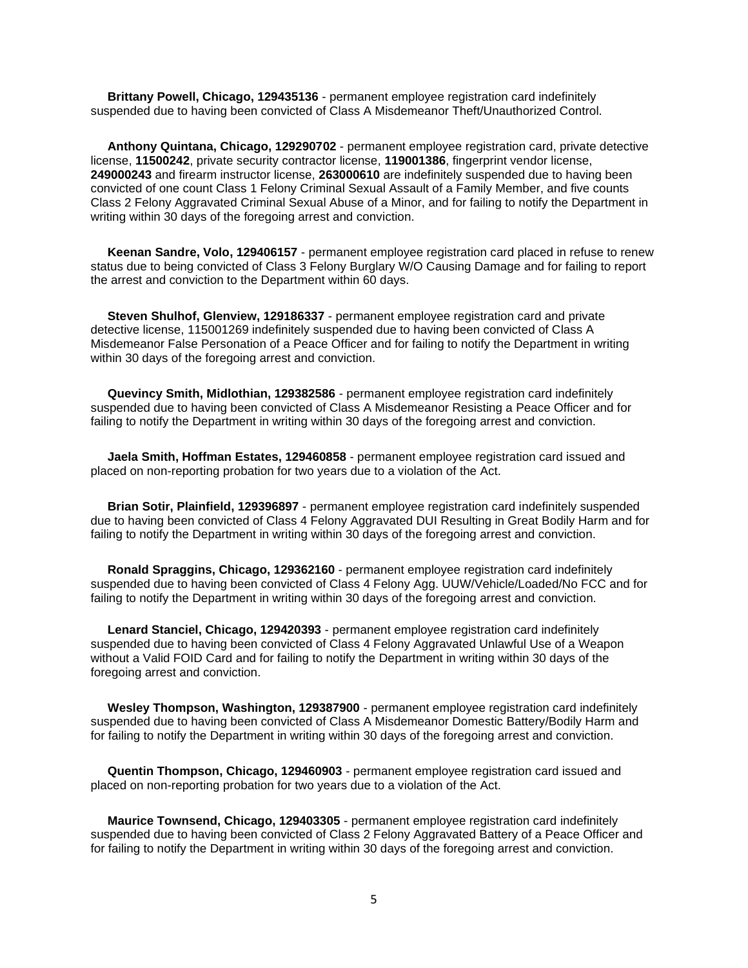**Brittany Powell, Chicago, 129435136** - permanent employee registration card indefinitely suspended due to having been convicted of Class A Misdemeanor Theft/Unauthorized Control.

 **Anthony Quintana, Chicago, 129290702** - permanent employee registration card, private detective license, **11500242**, private security contractor license, **119001386**, fingerprint vendor license, **249000243** and firearm instructor license, **263000610** are indefinitely suspended due to having been convicted of one count Class 1 Felony Criminal Sexual Assault of a Family Member, and five counts Class 2 Felony Aggravated Criminal Sexual Abuse of a Minor, and for failing to notify the Department in writing within 30 days of the foregoing arrest and conviction.

 **Keenan Sandre, Volo, 129406157** - permanent employee registration card placed in refuse to renew status due to being convicted of Class 3 Felony Burglary W/O Causing Damage and for failing to report the arrest and conviction to the Department within 60 days.

 **Steven Shulhof, Glenview, 129186337** - permanent employee registration card and private detective license, 115001269 indefinitely suspended due to having been convicted of Class A Misdemeanor False Personation of a Peace Officer and for failing to notify the Department in writing within 30 days of the foregoing arrest and conviction.

 **Quevincy Smith, Midlothian, 129382586** - permanent employee registration card indefinitely suspended due to having been convicted of Class A Misdemeanor Resisting a Peace Officer and for failing to notify the Department in writing within 30 days of the foregoing arrest and conviction.

 **Jaela Smith, Hoffman Estates, 129460858** - permanent employee registration card issued and placed on non-reporting probation for two years due to a violation of the Act.

 **Brian Sotir, Plainfield, 129396897** - permanent employee registration card indefinitely suspended due to having been convicted of Class 4 Felony Aggravated DUI Resulting in Great Bodily Harm and for failing to notify the Department in writing within 30 days of the foregoing arrest and conviction.

 **Ronald Spraggins, Chicago, 129362160** - permanent employee registration card indefinitely suspended due to having been convicted of Class 4 Felony Agg. UUW/Vehicle/Loaded/No FCC and for failing to notify the Department in writing within 30 days of the foregoing arrest and conviction.

 **Lenard Stanciel, Chicago, 129420393** - permanent employee registration card indefinitely suspended due to having been convicted of Class 4 Felony Aggravated Unlawful Use of a Weapon without a Valid FOID Card and for failing to notify the Department in writing within 30 days of the foregoing arrest and conviction.

 **Wesley Thompson, Washington, 129387900** - permanent employee registration card indefinitely suspended due to having been convicted of Class A Misdemeanor Domestic Battery/Bodily Harm and for failing to notify the Department in writing within 30 days of the foregoing arrest and conviction.

 **Quentin Thompson, Chicago, 129460903** - permanent employee registration card issued and placed on non-reporting probation for two years due to a violation of the Act.

 **Maurice Townsend, Chicago, 129403305** - permanent employee registration card indefinitely suspended due to having been convicted of Class 2 Felony Aggravated Battery of a Peace Officer and for failing to notify the Department in writing within 30 days of the foregoing arrest and conviction.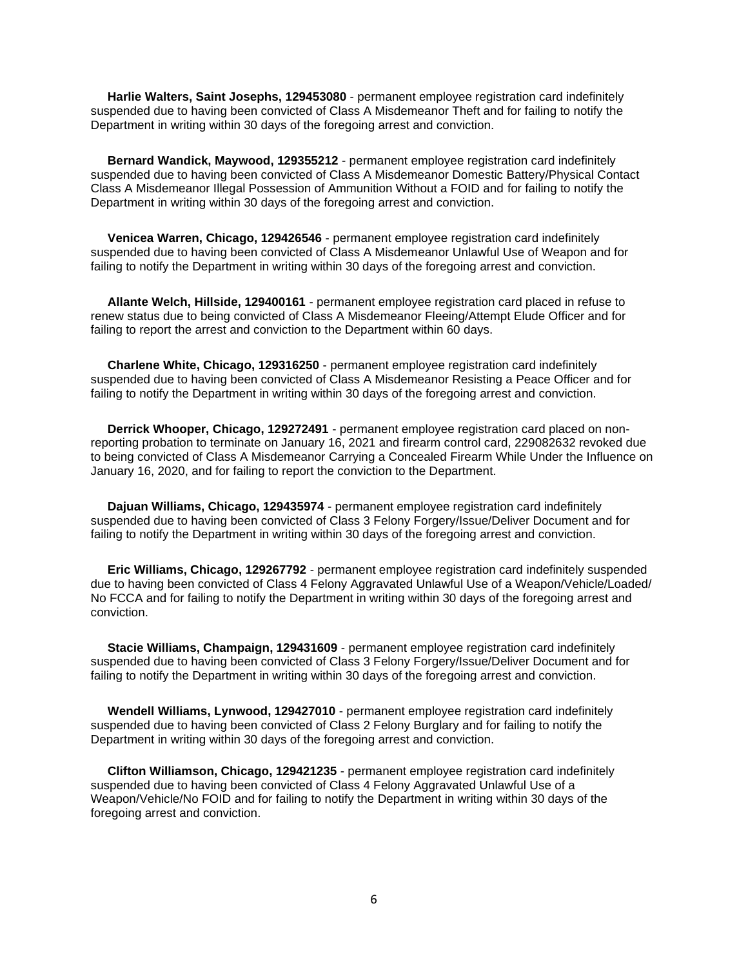**Harlie Walters, Saint Josephs, 129453080** - permanent employee registration card indefinitely suspended due to having been convicted of Class A Misdemeanor Theft and for failing to notify the Department in writing within 30 days of the foregoing arrest and conviction.

 **Bernard Wandick, Maywood, 129355212** - permanent employee registration card indefinitely suspended due to having been convicted of Class A Misdemeanor Domestic Battery/Physical Contact Class A Misdemeanor Illegal Possession of Ammunition Without a FOID and for failing to notify the Department in writing within 30 days of the foregoing arrest and conviction.

 **Venicea Warren, Chicago, 129426546** - permanent employee registration card indefinitely suspended due to having been convicted of Class A Misdemeanor Unlawful Use of Weapon and for failing to notify the Department in writing within 30 days of the foregoing arrest and conviction.

 **Allante Welch, Hillside, 129400161** - permanent employee registration card placed in refuse to renew status due to being convicted of Class A Misdemeanor Fleeing/Attempt Elude Officer and for failing to report the arrest and conviction to the Department within 60 days.

 **Charlene White, Chicago, 129316250** - permanent employee registration card indefinitely suspended due to having been convicted of Class A Misdemeanor Resisting a Peace Officer and for failing to notify the Department in writing within 30 days of the foregoing arrest and conviction.

 **Derrick Whooper, Chicago, 129272491** - permanent employee registration card placed on nonreporting probation to terminate on January 16, 2021 and firearm control card, 229082632 revoked due to being convicted of Class A Misdemeanor Carrying a Concealed Firearm While Under the Influence on January 16, 2020, and for failing to report the conviction to the Department.

 **Dajuan Williams, Chicago, 129435974** - permanent employee registration card indefinitely suspended due to having been convicted of Class 3 Felony Forgery/Issue/Deliver Document and for failing to notify the Department in writing within 30 days of the foregoing arrest and conviction.

 **Eric Williams, Chicago, 129267792** - permanent employee registration card indefinitely suspended due to having been convicted of Class 4 Felony Aggravated Unlawful Use of a Weapon/Vehicle/Loaded/ No FCCA and for failing to notify the Department in writing within 30 days of the foregoing arrest and conviction.

 **Stacie Williams, Champaign, 129431609** - permanent employee registration card indefinitely suspended due to having been convicted of Class 3 Felony Forgery/Issue/Deliver Document and for failing to notify the Department in writing within 30 days of the foregoing arrest and conviction.

 **Wendell Williams, Lynwood, 129427010** - permanent employee registration card indefinitely suspended due to having been convicted of Class 2 Felony Burglary and for failing to notify the Department in writing within 30 days of the foregoing arrest and conviction.

 **Clifton Williamson, Chicago, 129421235** - permanent employee registration card indefinitely suspended due to having been convicted of Class 4 Felony Aggravated Unlawful Use of a Weapon/Vehicle/No FOID and for failing to notify the Department in writing within 30 days of the foregoing arrest and conviction.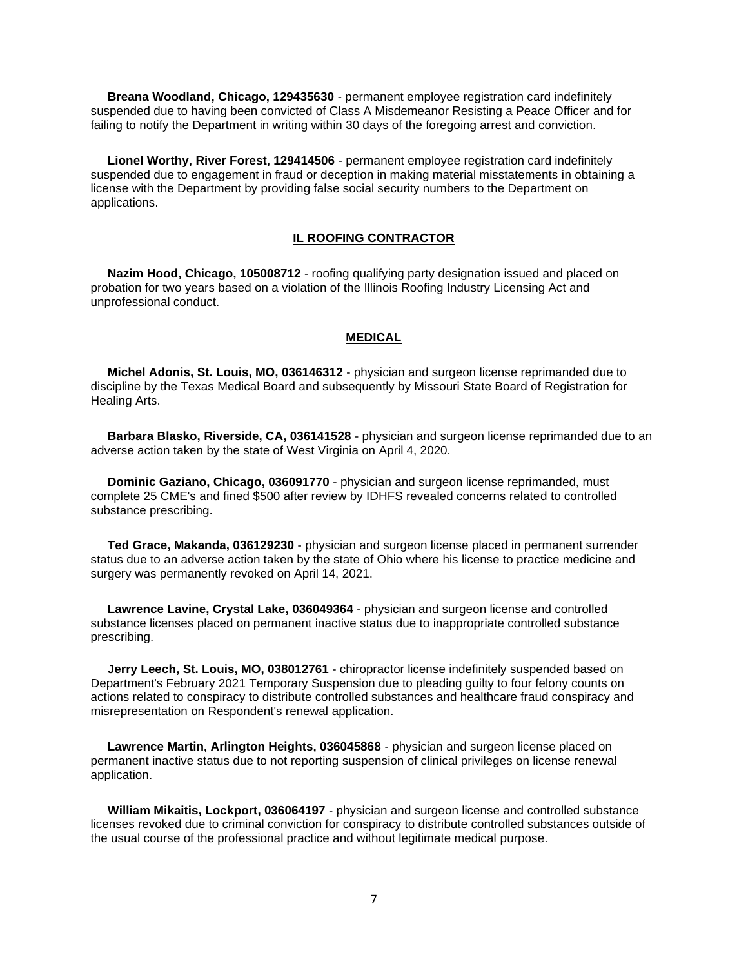**Breana Woodland, Chicago, 129435630** - permanent employee registration card indefinitely suspended due to having been convicted of Class A Misdemeanor Resisting a Peace Officer and for failing to notify the Department in writing within 30 days of the foregoing arrest and conviction.

 **Lionel Worthy, River Forest, 129414506** - permanent employee registration card indefinitely suspended due to engagement in fraud or deception in making material misstatements in obtaining a license with the Department by providing false social security numbers to the Department on applications.

### **IL ROOFING CONTRACTOR**

 **Nazim Hood, Chicago, 105008712** - roofing qualifying party designation issued and placed on probation for two years based on a violation of the Illinois Roofing Industry Licensing Act and unprofessional conduct.

### **MEDICAL**

 **Michel Adonis, St. Louis, MO, 036146312** - physician and surgeon license reprimanded due to discipline by the Texas Medical Board and subsequently by Missouri State Board of Registration for Healing Arts.

 **Barbara Blasko, Riverside, CA, 036141528** - physician and surgeon license reprimanded due to an adverse action taken by the state of West Virginia on April 4, 2020.

 **Dominic Gaziano, Chicago, 036091770** - physician and surgeon license reprimanded, must complete 25 CME's and fined \$500 after review by IDHFS revealed concerns related to controlled substance prescribing.

 **Ted Grace, Makanda, 036129230** - physician and surgeon license placed in permanent surrender status due to an adverse action taken by the state of Ohio where his license to practice medicine and surgery was permanently revoked on April 14, 2021.

 **Lawrence Lavine, Crystal Lake, 036049364** - physician and surgeon license and controlled substance licenses placed on permanent inactive status due to inappropriate controlled substance prescribing.

 **Jerry Leech, St. Louis, MO, 038012761** - chiropractor license indefinitely suspended based on Department's February 2021 Temporary Suspension due to pleading guilty to four felony counts on actions related to conspiracy to distribute controlled substances and healthcare fraud conspiracy and misrepresentation on Respondent's renewal application.

 **Lawrence Martin, Arlington Heights, 036045868** - physician and surgeon license placed on permanent inactive status due to not reporting suspension of clinical privileges on license renewal application.

 **William Mikaitis, Lockport, 036064197** - physician and surgeon license and controlled substance licenses revoked due to criminal conviction for conspiracy to distribute controlled substances outside of the usual course of the professional practice and without legitimate medical purpose.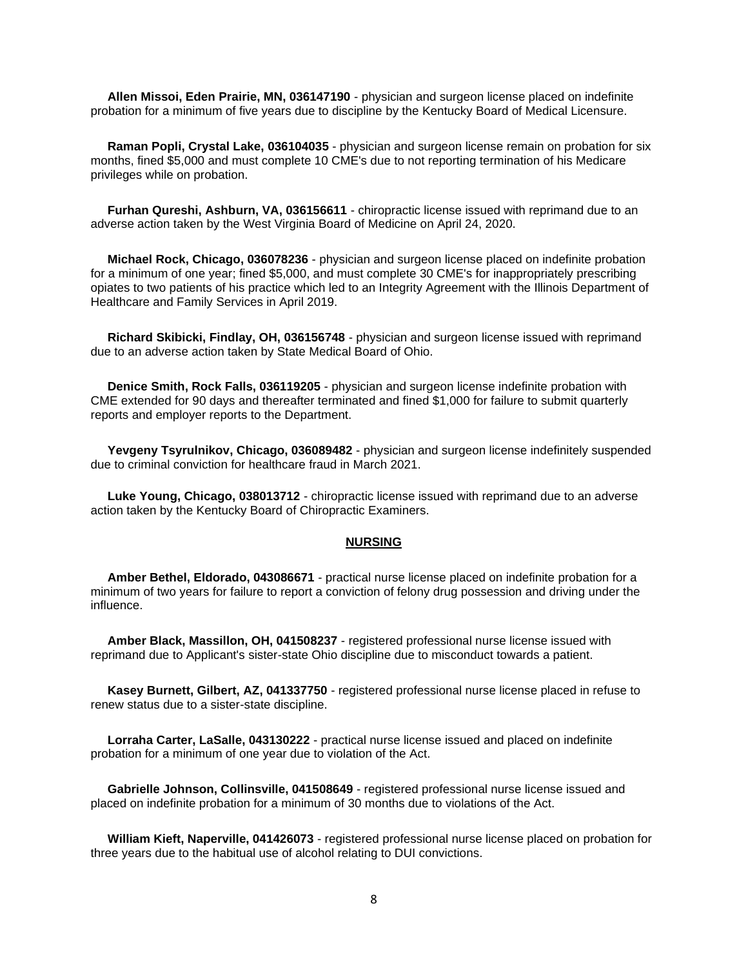**Allen Missoi, Eden Prairie, MN, 036147190** - physician and surgeon license placed on indefinite probation for a minimum of five years due to discipline by the Kentucky Board of Medical Licensure.

 **Raman Popli, Crystal Lake, 036104035** - physician and surgeon license remain on probation for six months, fined \$5,000 and must complete 10 CME's due to not reporting termination of his Medicare privileges while on probation.

 **Furhan Qureshi, Ashburn, VA, 036156611** - chiropractic license issued with reprimand due to an adverse action taken by the West Virginia Board of Medicine on April 24, 2020.

 **Michael Rock, Chicago, 036078236** - physician and surgeon license placed on indefinite probation for a minimum of one year; fined \$5,000, and must complete 30 CME's for inappropriately prescribing opiates to two patients of his practice which led to an Integrity Agreement with the Illinois Department of Healthcare and Family Services in April 2019.

 **Richard Skibicki, Findlay, OH, 036156748** - physician and surgeon license issued with reprimand due to an adverse action taken by State Medical Board of Ohio.

 **Denice Smith, Rock Falls, 036119205** - physician and surgeon license indefinite probation with CME extended for 90 days and thereafter terminated and fined \$1,000 for failure to submit quarterly reports and employer reports to the Department.

 **Yevgeny Tsyrulnikov, Chicago, 036089482** - physician and surgeon license indefinitely suspended due to criminal conviction for healthcare fraud in March 2021.

 **Luke Young, Chicago, 038013712** - chiropractic license issued with reprimand due to an adverse action taken by the Kentucky Board of Chiropractic Examiners.

#### **NURSING**

 **Amber Bethel, Eldorado, 043086671** - practical nurse license placed on indefinite probation for a minimum of two years for failure to report a conviction of felony drug possession and driving under the influence.

 **Amber Black, Massillon, OH, 041508237** - registered professional nurse license issued with reprimand due to Applicant's sister-state Ohio discipline due to misconduct towards a patient.

 **Kasey Burnett, Gilbert, AZ, 041337750** - registered professional nurse license placed in refuse to renew status due to a sister-state discipline.

 **Lorraha Carter, LaSalle, 043130222** - practical nurse license issued and placed on indefinite probation for a minimum of one year due to violation of the Act.

 **Gabrielle Johnson, Collinsville, 041508649** - registered professional nurse license issued and placed on indefinite probation for a minimum of 30 months due to violations of the Act.

 **William Kieft, Naperville, 041426073** - registered professional nurse license placed on probation for three years due to the habitual use of alcohol relating to DUI convictions.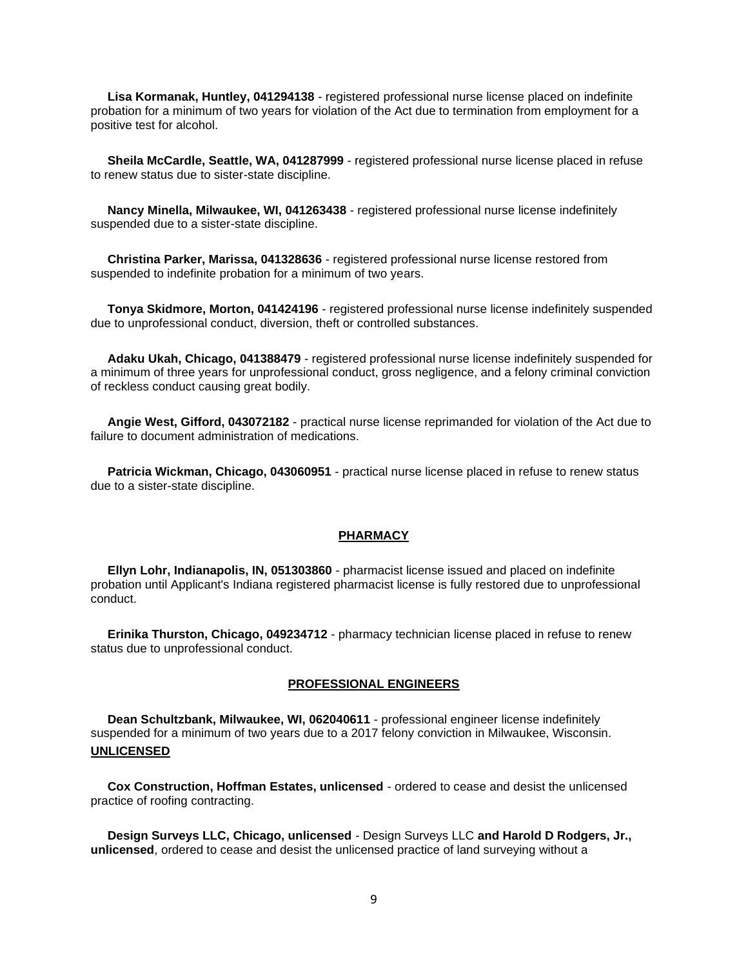**Lisa Kormanak, Huntley, 041294138** - registered professional nurse license placed on indefinite probation for a minimum of two years for violation of the Act due to termination from employment for a positive test for alcohol.

 **Sheila McCardle, Seattle, WA, 041287999** - registered professional nurse license placed in refuse to renew status due to sister-state discipline.

 **Nancy Minella, Milwaukee, WI, 041263438** - registered professional nurse license indefinitely suspended due to a sister-state discipline.

 **Christina Parker, Marissa, 041328636** - registered professional nurse license restored from suspended to indefinite probation for a minimum of two years.

 **Tonya Skidmore, Morton, 041424196** - registered professional nurse license indefinitely suspended due to unprofessional conduct, diversion, theft or controlled substances.

 **Adaku Ukah, Chicago, 041388479** - registered professional nurse license indefinitely suspended for a minimum of three years for unprofessional conduct, gross negligence, and a felony criminal conviction of reckless conduct causing great bodily.

 **Angie West, Gifford, 043072182** - practical nurse license reprimanded for violation of the Act due to failure to document administration of medications.

 **Patricia Wickman, Chicago, 043060951** - practical nurse license placed in refuse to renew status due to a sister-state discipline.

#### **PHARMACY**

 **Ellyn Lohr, Indianapolis, IN, 051303860** - pharmacist license issued and placed on indefinite probation until Applicant's Indiana registered pharmacist license is fully restored due to unprofessional conduct.

 **Erinika Thurston, Chicago, 049234712** - pharmacy technician license placed in refuse to renew status due to unprofessional conduct.

#### **PROFESSIONAL ENGINEERS**

 **Dean Schultzbank, Milwaukee, WI, 062040611** - professional engineer license indefinitely suspended for a minimum of two years due to a 2017 felony conviction in Milwaukee, Wisconsin. **UNLICENSED**

 **Cox Construction, Hoffman Estates, unlicensed** - ordered to cease and desist the unlicensed practice of roofing contracting.

 **Design Surveys LLC, Chicago, unlicensed** - Design Surveys LLC **and Harold D Rodgers, Jr., unlicensed**, ordered to cease and desist the unlicensed practice of land surveying without a